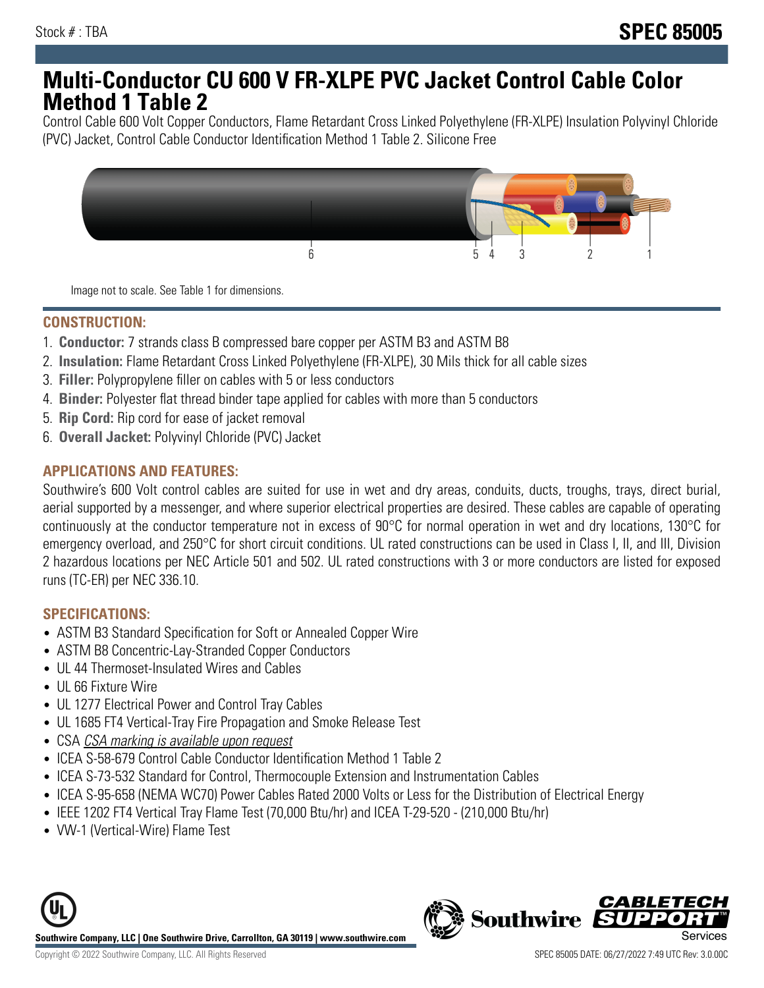# **Multi-Conductor CU 600 V FR-XLPE PVC Jacket Control Cable Color Method 1 Table 2**

Control Cable 600 Volt Copper Conductors, Flame Retardant Cross Linked Polyethylene (FR-XLPE) Insulation Polyvinyl Chloride (PVC) Jacket, Control Cable Conductor Identification Method 1 Table 2. Silicone Free



Image not to scale. See Table 1 for dimensions.

# **CONSTRUCTION:**

- 1. **Conductor:** 7 strands class B compressed bare copper per ASTM B3 and ASTM B8
- 2. **Insulation:** Flame Retardant Cross Linked Polyethylene (FR-XLPE), 30 Mils thick for all cable sizes
- 3. **Filler:** Polypropylene filler on cables with 5 or less conductors
- 4. **Binder:** Polyester flat thread binder tape applied for cables with more than 5 conductors
- 5. **Rip Cord:** Rip cord for ease of jacket removal
- 6. **Overall Jacket:** Polyvinyl Chloride (PVC) Jacket

## **APPLICATIONS AND FEATURES:**

Southwire's 600 Volt control cables are suited for use in wet and dry areas, conduits, ducts, troughs, trays, direct burial, aerial supported by a messenger, and where superior electrical properties are desired. These cables are capable of operating continuously at the conductor temperature not in excess of 90°C for normal operation in wet and dry locations, 130°C for emergency overload, and 250°C for short circuit conditions. UL rated constructions can be used in Class I, II, and III, Division 2 hazardous locations per NEC Article 501 and 502. UL rated constructions with 3 or more conductors are listed for exposed runs (TC-ER) per NEC 336.10.

## **SPECIFICATIONS:**

- ASTM B3 Standard Specification for Soft or Annealed Copper Wire
- ASTM B8 Concentric-Lay-Stranded Copper Conductors
- UL 44 Thermoset-Insulated Wires and Cables
- UL 66 Fixture Wire
- UL 1277 Electrical Power and Control Tray Cables
- UL 1685 FT4 Vertical-Tray Fire Propagation and Smoke Release Test
- CSA CSA marking is available upon request
- ICEA S-58-679 Control Cable Conductor Identification Method 1 Table 2
- ICEA S-73-532 Standard for Control, Thermocouple Extension and Instrumentation Cables
- ICEA S-95-658 (NEMA WC70) Power Cables Rated 2000 Volts or Less for the Distribution of Electrical Energy
- IEEE 1202 FT4 Vertical Tray Flame Test (70,000 Btu/hr) and ICEA T-29-520 (210,000 Btu/hr)
- VW-1 (Vertical-Wire) Flame Test



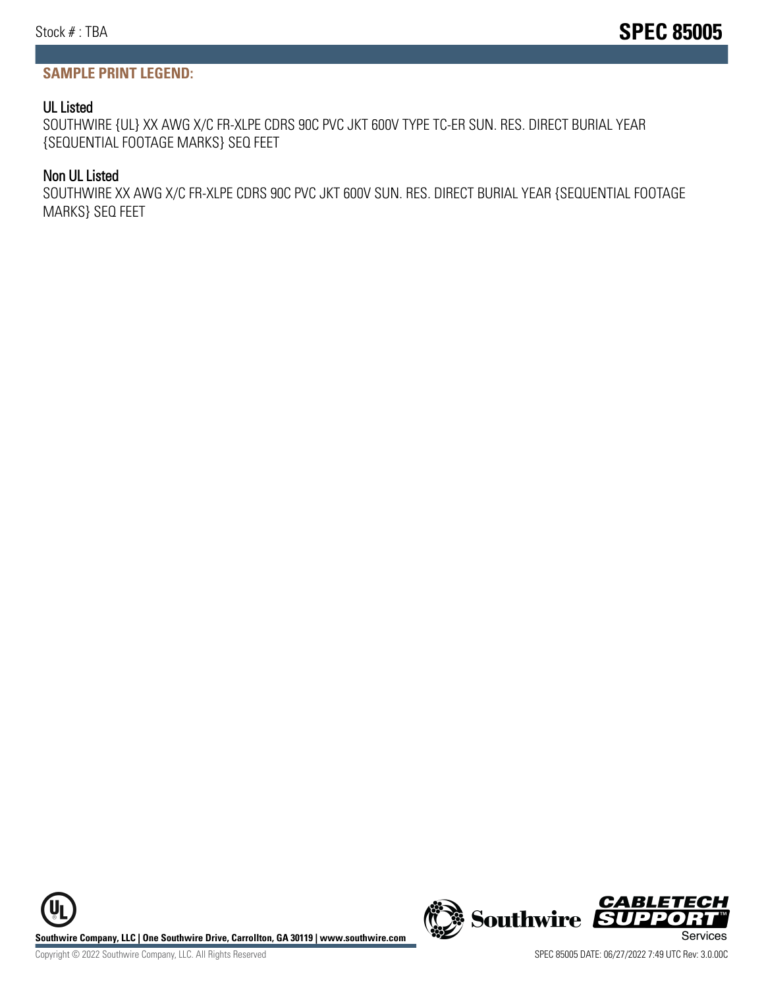## **SAMPLE PRINT LEGEND:**

#### UL Listed

SOUTHWIRE {UL} XX AWG X/C FR-XLPE CDRS 90C PVC JKT 600V TYPE TC-ER SUN. RES. DIRECT BURIAL YEAR {SEQUENTIAL FOOTAGE MARKS} SEQ FEET

#### Non UL Listed

SOUTHWIRE XX AWG X/C FR-XLPE CDRS 90C PVC JKT 600V SUN. RES. DIRECT BURIAL YEAR {SEQUENTIAL FOOTAGE MARKS} SEQ FEET

**Southwire Company, LLC | One Southwire Drive, Carrollton, GA 30119 | www.southwire.com (New Southwire SUPPORTINGLY)**